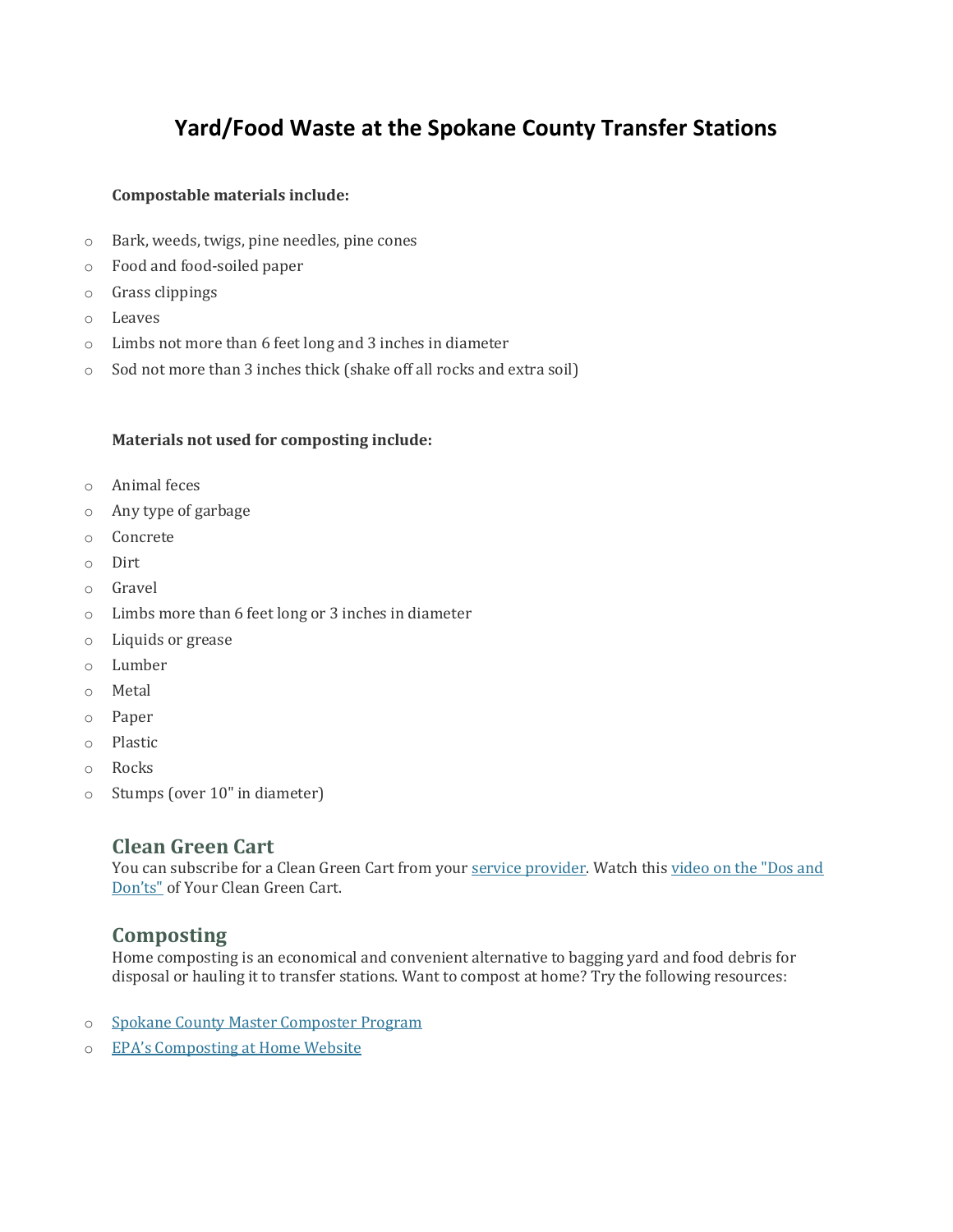# **Yard/Food Waste at the Spokane County Transfer Stations**

#### **Compostable materials include:**

- o Bark, weeds, twigs, pine needles, pine cones
- o Food and food-soiled paper
- o Grass clippings
- o Leaves
- o Limbs not more than 6 feet long and 3 inches in diameter
- o Sod not more than 3 inches thick (shake off all rocks and extra soil)

#### **Materials not used for composting include:**

- o Animal feces
- o Any type of garbage
- o Concrete
- o Dirt
- o Gravel
- o Limbs more than 6 feet long or 3 inches in diameter
- o Liquids or grease
- o Lumber
- o Metal
- o Paper
- o Plastic
- o Rocks
- o Stumps (over 10" in diameter)

### **Clean Green Cart**

You can subscribe for a Clean Green Cart from your [service provider.](https://www.spokanecounty.org/1663/Curbside-Pickup) Watch this video on the "Dos and [Don'ts"](https://www.youtube.com/watch?v=M-my3TG-gOk) of Your Clean Green Cart.

## **Composting**

Home composting is an economical and convenient alternative to bagging yard and food debris for disposal or hauling it to transfer stations. Want to compost at home? Try the following resources:

- o [Spokane County Master Composter Program](https://www.spokanecounty.org/2024/Master-Composter-Program)
- o [EPA's Composting at Home Website](http://www.epa.gov/recycle/composting-home)